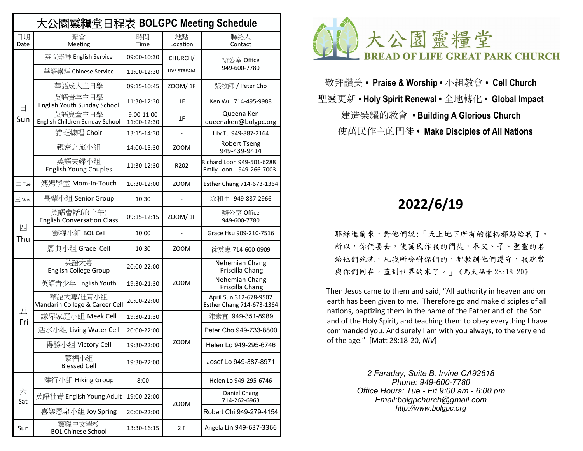| 大公園靈糧堂日程表 BOLGPC Meeting Schedule |                                                |                           |                          |                                                      |  |  |  |
|-----------------------------------|------------------------------------------------|---------------------------|--------------------------|------------------------------------------------------|--|--|--|
| 日期<br>Date                        | 聚會<br>Meeting                                  | 時間<br>Time                | 地點<br>Location           | 聯絡人<br>Contact                                       |  |  |  |
| 日<br>Sun                          | 英文崇拜 English Service                           | 09:00-10:30               | CHURCH/                  | 辦公室 Office<br>949-600-7780                           |  |  |  |
|                                   | 華語崇拜 Chinese Service                           | 11:00-12:30               | <b>LIVE STREAM</b>       |                                                      |  |  |  |
|                                   | 華語成人主日學                                        | 09:15-10:45               | ZOOM/1F                  | 張牧師 / Peter Cho                                      |  |  |  |
|                                   | 英語青年主日學<br>English Youth Sunday School         | 11:30-12:30               | 1F                       | Ken Wu 714-495-9988                                  |  |  |  |
|                                   | 英語兒童主日學<br>English Children Sunday School      | 9:00-11:00<br>11:00-12:30 | 1F                       | Queena Ken<br>queenaken@bolgpc.org                   |  |  |  |
|                                   | 詩班練唱 Choir                                     | 13:15-14:30               | ÷,                       | Lily Tu 949-887-2164                                 |  |  |  |
|                                   | 親密之旅小組                                         | 14:00-15:30               | <b>ZOOM</b>              | <b>Robert Tseng</b><br>949-439-9414                  |  |  |  |
|                                   | 英語夫婦小組<br><b>English Young Couples</b>         | 11:30-12:30               | R <sub>202</sub>         | Richard Loon 949-501-6288<br>Emily Loon 949-266-7003 |  |  |  |
| $\equiv$ Tue                      | 媽媽學堂 Mom-In-Touch                              | 10:30-12:00               | ZOOM                     | Esther Chang 714-673-1364                            |  |  |  |
| $\equiv$ Wed                      | 長輩小組 Senior Group                              | 10:30                     |                          | 涂和牛 949-887-2966                                     |  |  |  |
| 四<br>Thu                          | 英語會話班(上午)<br><b>English Conversation Class</b> | 09:15-12:15               | ZOOM/1F                  | 辦公室 Office<br>949-600-7780                           |  |  |  |
|                                   | 靈糧小組 BOL Cell                                  | 10:00                     | $\overline{\phantom{a}}$ | Grace Hsu 909-210-7516                               |  |  |  |
|                                   | 恩典小組 Grace Cell                                | 10:30                     | <b>ZOOM</b>              | 徐英惠 714-600-0909                                     |  |  |  |
| 五                                 | 英語大專<br>English College Group                  | 20:00-22:00               |                          | Nehemiah Chang<br>Priscilla Chang                    |  |  |  |
|                                   | 英語青少年 English Youth                            | 19:30-21:30               | <b>ZOOM</b>              | Nehemiah Chang<br>Priscilla Chang                    |  |  |  |
|                                   | 華語大專/社青小組<br>Mandarin College & Career Cell    | 20:00-22:00               |                          | April Sun 312-678-9502<br>Esther Chang 714-673-1364  |  |  |  |
| Fri                               | 謙卑家庭小組 Meek Cell                               | 19:30-21:30               |                          | 陳素官 949-351-8989                                     |  |  |  |
|                                   | 活水小組 Living Water Cell                         | 20:00-22:00               |                          | Peter Cho 949-733-8800                               |  |  |  |
|                                   | 得勝小組 Victory Cell                              | 19:30-22:00               | ZOOM                     | Helen Lo 949-295-6746                                |  |  |  |
|                                   | 蒙福小組<br><b>Blessed Cell</b>                    | 19:30-22:00               |                          | Josef Lo 949-387-8971                                |  |  |  |
| 六<br>Sat                          | 健行小組 Hiking Group                              | 8:00                      |                          | Helen Lo 949-295-6746                                |  |  |  |
|                                   | 英語社青 English Young Adult                       | 19:00-22:00               | <b>ZOOM</b>              | Daniel Chang<br>714-262-6963                         |  |  |  |
|                                   | 喜樂恩泉小組 Joy Spring                              | 20:00-22:00               |                          | Robert Chi 949-279-4154                              |  |  |  |
| Sun                               | 靈糧中文學校<br><b>BOL Chinese School</b>            | 13:30-16:15               | 2 F                      | Angela Lin 949-637-3366                              |  |  |  |



敬拜讚美 **• Praise & Worship •** 小組教會 **• Cell Church** 聖靈更新 **• Holy Spirit Renewal •** 全地轉化 **• Global Impact**  建造榮耀的教會 **• Building A Glorious Church** 使萬民作主的門徒 **• Make Disciples of All Nations**

# **2022/6/19**

 耶穌進前來,對他們說:「天上地下所有的權柄都賜給我了。 所以,你們要去,使萬民作我的門徒,奉父、子、聖靈的名 給他們施洗,凡我所吩咐你們的,都教訓他們遵守,我就常 與你們同在,直到世界的末了。」《馬太福音 28:18-20》

 Then Jesus came to them and said, "All authority in heaven and on earth has been given to me. Therefore go and make disciples of all nations, baptizing them in the name of the Father and of the Son and of the Holy Spirit, and teaching them to obey everything I have commanded you. And surely I am with you always, to the very end of the age." [Matt 28:18-20, *NIV*]

> *2 Faraday, Suite B, Irvine CA92618 Phone: 949-600-7780 Office Hours: Tue - Fri 9:00 am - 6:00 pm Email:[bolgpchurch@gmail.com](mailto:bolgpchurch@gmail.com) http:/[/www.bolgpc.org](http://www.bolgpc.org)*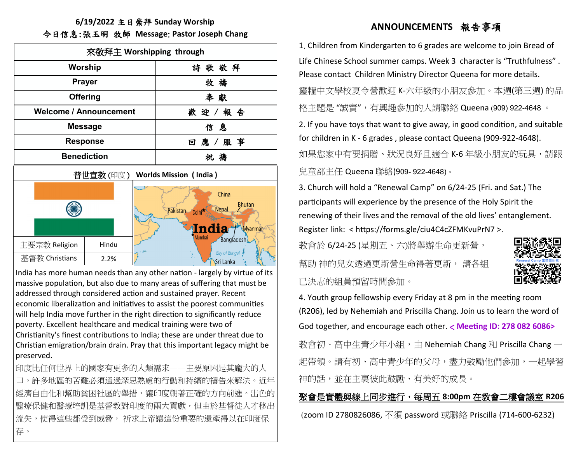#### **6/19/2022** 主日崇拜 **Sunday Worship** 今日信息:張玉明 牧師 **Message**: **Pastor Joseph Chang**

| 來敬拜主 Worshipping through                    |                 |                                                                                                                       |                 |  |  |  |  |
|---------------------------------------------|-----------------|-----------------------------------------------------------------------------------------------------------------------|-----------------|--|--|--|--|
| Worship                                     |                 |                                                                                                                       | 詩歌敬拜            |  |  |  |  |
| <b>Prayer</b>                               |                 |                                                                                                                       | 牧 禱             |  |  |  |  |
|                                             | <b>Offering</b> | 奉獻                                                                                                                    |                 |  |  |  |  |
| <b>Welcome / Announcement</b>               |                 | 歡迎/報告                                                                                                                 |                 |  |  |  |  |
|                                             | <b>Message</b>  | 信息                                                                                                                    |                 |  |  |  |  |
|                                             | Response        | 回 應 / 服 事                                                                                                             |                 |  |  |  |  |
| <b>Benediction</b>                          |                 |                                                                                                                       | 祝禱              |  |  |  |  |
| 普世宣教 (印度 )<br><b>Worlds Mission (India)</b> |                 |                                                                                                                       |                 |  |  |  |  |
|                                             |                 | China<br><b>Bhutan</b><br>Nepal<br>Pakistan.<br>Delhi <sup>*</sup><br>India<br>Myanmar<br>Mumbai<br><b>Bangladesh</b> |                 |  |  |  |  |
| 主要宗教 Religion                               | Hindu           |                                                                                                                       | Bay of Bengal   |  |  |  |  |
| 基督教 Christians                              | 2.2%            |                                                                                                                       | Ϋ.<br>Sri Lanka |  |  |  |  |

India has more human needs than any other nation - largely by virtue of its massive population, but also due to many areas of suffering that must be addressed through considered action and sustained prayer. Recent economic liberalization and initiatives to assist the poorest communities will help India move further in the right direction to significantly reduce poverty. Excellent healthcare and medical training were two of Christianity's finest contributions to India; these are under threat due to Christian emigration/brain drain. Pray that this important legacy might be preserved.

印度比任何世界上的國家有更多的人類需求——主要原因是其龐大的人 口。許多地區的苦難必須通過深思熟慮的行動和持續的禱告來解決。近年 經濟自由化和幫助貧困社區的舉措,讓印度朝著正確的方向前進。出色的 醫療保健和醫療培訓是基督教對印度的兩大貢獻,但由於基督徒人才移出 流失,使得這些都受到威脅, 祈求上帝讓這份重要的遺產得以在印度保 存。

## **ANNOUNCEMENTS** 報告事項

1. Children from Kindergarten to 6 grades are welcome to join Bread of Life Chinese School summer camps. Week 3 character is "Truthfulness" . Please contact Children Ministry Director Queena for more details. 靈糧中文學校夏令營歡迎 K-六年級的小朋友參加。本週(第三週) 的品 格主題是 "誠實",有興趣參加的人請聯絡 Queena (909) 922-4648 。

2. If you have toys that want to give away, in good condition, and suitable for children in K - 6 grades , please contact Queena (909-922-4648). 如果您家中有要捐贈、狀況良好目滴合 K-6 年級小朋友的玩具,請跟 兒童部主任 Queena 聯絡(909- 922-4648)。

3. Church will hold a "Renewal Camp" on 6/24-25 (Fri. and Sat.) The participants will experience by the presence of the Holy Spirit the renewing of their lives and the removal of the old lives' entanglement. Register link: < https://forms.gle/ciu4C4cZFMKvuPrN7 >.

教會於 6/24-25 (星期五、六)將舉辦生命更新營, 幫助 神的兒女透過更新營生命得著更新, 請各組 已決志的組員預留時間參加。



4. Youth group fellowship every Friday at 8 pm in the meeting room (R206), led by Nehemiah and Priscilla Chang. Join us to learn the word of God together, and encourage each other. < **Meeting ID: 278 082 6086>**

教會初、高中生青少年小組,由 Nehemiah Chang 和 Priscilla Chang 一 起帶領。請有初、高中青少年的父母,盡力鼓勵他們參加,一起學習 神的話,並在主裏彼此鼓勵、有美好的成長。

聚會是實體與線上同步進行,每周五 **8:00pm** 在教會二樓會議室 **R206** (zoom ID 2780826086, 不須 password 或聯絡 Priscilla (714-600-6232)